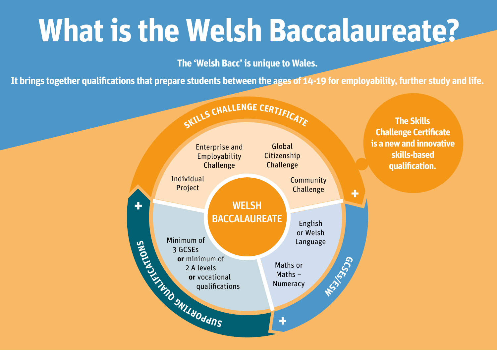## **What is the Welsh Baccalaureate?**

**The 'Welsh Bacc' is unique to Wales.** 

**It brings together qualifications that prepare students between the ages of 14-19 for employability, further study and life.**